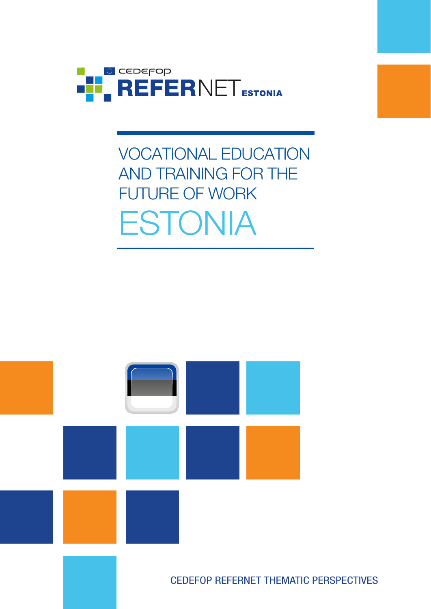

# VOCATIONAL EDUCATION AND TRAINING FOR THE FUTURE OF WORK **ESTONIA**



CEDEFOP REFERNET THEMATIC PERSPECTIVES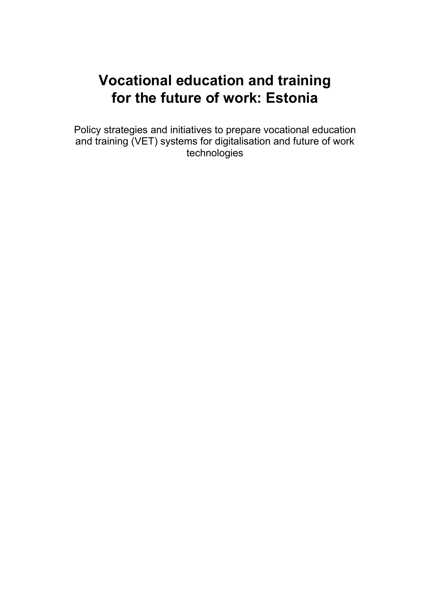# **Vocational education and training for the future of work: Estonia**

Policy strategies and initiatives to prepare vocational education and training (VET) systems for digitalisation and future of work technologies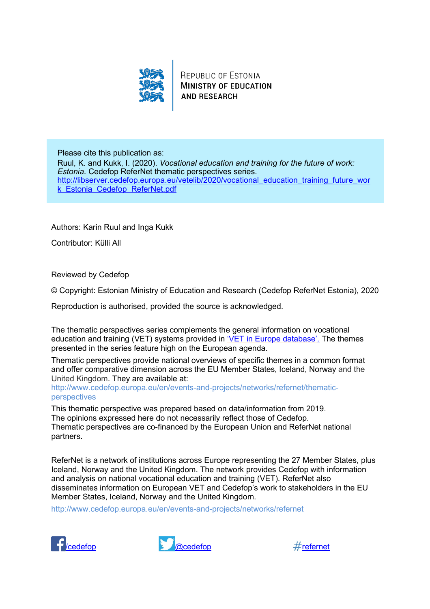

REPUBLIC OF ESTONIA **MINISTRY OF EDUCATION AND RESEARCH** 

Please cite this publication as: Ruul, K. and Kukk, I. (2020). *Vocational education and training for the future of work: Estonia*. Cedefop ReferNet thematic perspectives series. http://libserver.cedefop.europa.eu/vetelib/2020/vocational\_education\_training\_future\_wor k Estonia Cedefop ReferNet.pdf

Authors: Karin Ruul and Inga Kukk

Contributor: Külli All

Reviewed by Cedefop

© Copyright: Estonian Ministry of Education and Research (Cedefop ReferNet Estonia), 2020

Reproduction is authorised, provided the source is acknowledged.

The thematic perspectives series complements the general information on vocational education and training (VET) systems provided in ['VET in Europe database'.](https://www.cedefop.europa.eu/en/tools/vet-in-europe/systems/slovenia) The themes presented in the series feature high on the European agenda.

Thematic perspectives provide national overviews of specific themes in a common format and offer comparative dimension across the EU Member States, Iceland, Norway and the United Kingdom. They are available at:

[http://www.cedefop.europa.eu/en/events-and-projects/networks/refernet/thematic](http://www.cedefop.europa.eu/en/events-and-projects/networks/refernet/thematic-perspectives)[perspectives](http://www.cedefop.europa.eu/en/events-and-projects/networks/refernet/thematic-perspectives)

This thematic perspective was prepared based on data/information from 2019. The opinions expressed here do not necessarily reflect those of Cedefop. Thematic perspectives are co-financed by the European Union and ReferNet national partners.

ReferNet is a network of institutions across Europe representing the 27 Member States, plus Iceland, Norway and the United Kingdom. The network provides Cedefop with information and analysis on national vocational education and training (VET). ReferNet also disseminates information on European VET and Cedefop's work to stakeholders in the EU Member States, Iceland, Norway and the United Kingdom.

<http://www.cedefop.europa.eu/en/events-and-projects/networks/refernet>





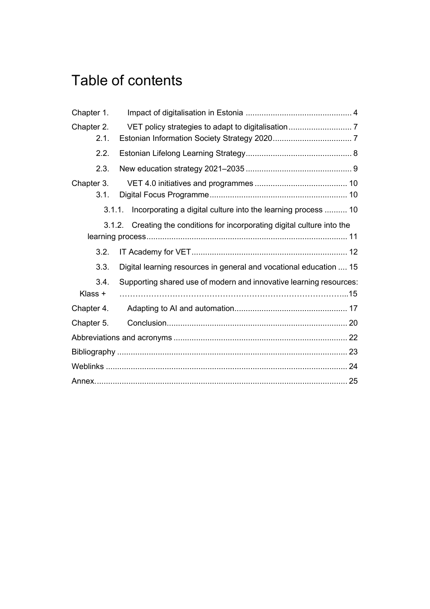# Table of contents

| Chapter 1.         |                                                                    |
|--------------------|--------------------------------------------------------------------|
| Chapter 2.<br>2.1. |                                                                    |
| 2.2.               |                                                                    |
| 2.3.               |                                                                    |
| Chapter 3.<br>3.1. |                                                                    |
| 3.1.1.             | Incorporating a digital culture into the learning process  10      |
| 3.1.2.             | Creating the conditions for incorporating digital culture into the |
| 3.2.               |                                                                    |
| 3.3.               | Digital learning resources in general and vocational education  15 |
| 3.4.<br>Klass +    | Supporting shared use of modern and innovative learning resources: |
| Chapter 4.         |                                                                    |
| Chapter 5.         |                                                                    |
|                    |                                                                    |
|                    |                                                                    |
|                    |                                                                    |
|                    |                                                                    |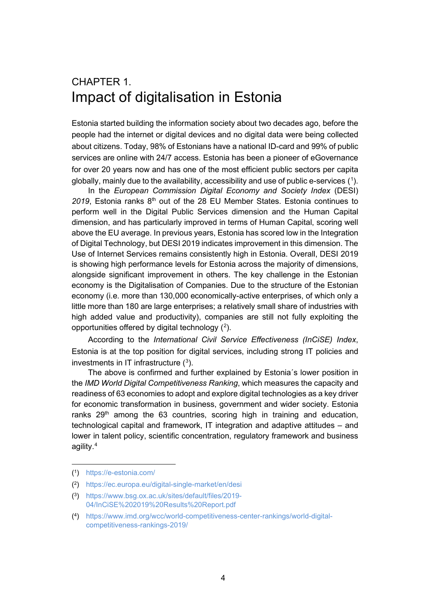### <span id="page-4-0"></span>CHAPTER 1. Impact of digitalisation in Estonia

Estonia started building the information society about two decades ago, before the people had the internet or digital devices and no digital data were being collected about citizens. Today, 98% of Estonians have a national ID-card and 99% of public services are online with 24/7 access. Estonia has been a pioneer of eGovernance for over 20 years now and has one of the most efficient public sectors per capita globally, mainly due to the availability, accessibility and use of public e-services ( $^{\text{\tiny{\text{1}}}}$  $^{\text{\tiny{\text{1}}}}$  $^{\text{\tiny{\text{1}}}}$ ).

In the *European Commission Digital Economy and Society Index* (DESI) 2019, Estonia ranks 8<sup>th</sup> out of the 28 EU Member States. Estonia continues to perform well in the Digital Public Services dimension and the Human Capital dimension, and has particularly improved in terms of Human Capital, scoring well above the EU average. In previous years, Estonia has scored low in the Integration of Digital Technology, but DESI 2019 indicates improvement in this dimension. The Use of Internet Services remains consistently high in Estonia. Overall, DESI 2019 is showing high performance levels for Estonia across the majority of dimensions, alongside significant improvement in others. The key challenge in the Estonian economy is the Digitalisation of Companies. Due to the structure of the Estonian economy (i.e. more than 130,000 economically-active enterprises, of which only a little more than 180 are large enterprises; a relatively small share of industries with high added value and productivity), companies are still not fully exploiting the opportunities offered by digital technology ( $^{2}$  $^{2}$  $^{2}$ ).

According to the *International Civil Service Effectiveness (InCiSE) Index*, Estonia is at the top position for digital services, including strong IT policies and investments in IT infrastructure  $(3)$  $(3)$  $(3)$ .

The above is confirmed and further explained by Estonia´s lower position in the *IMD World Digital Competitiveness Ranking*, which measures the capacity and readiness of 63 economies to adopt and explore digital technologies as a key driver for economic transformation in business, government and wider society. Estonia ranks  $29<sup>th</sup>$  among the 63 countries, scoring high in training and education, technological capital and framework, IT integration and adaptive attitudes – and lower in talent policy, scientific concentration, regulatory framework and business agility.[4](#page-4-4)

<span id="page-4-1"></span><sup>(1)</sup> https://e-estonia.com/

<span id="page-4-2"></span><sup>(2)</sup> <https://ec.europa.eu/digital-single-market/en/desi>

<span id="page-4-3"></span><sup>(3)</sup> [https://www.bsg.ox.ac.uk/sites/default/files/2019-](https://www.bsg.ox.ac.uk/sites/default/files/2019-04/InCiSE%202019%20Results%20Report.pdf) [04/InCiSE%202019%20Results%20Report.pdf](https://www.bsg.ox.ac.uk/sites/default/files/2019-04/InCiSE%202019%20Results%20Report.pdf)

<span id="page-4-4"></span><sup>(4)</sup> [https://www.imd.org/wcc/world-competitiveness-center-rankings/world-digital](https://www.imd.org/wcc/world-competitiveness-center-rankings/world-digital-competitiveness-rankings-2019/)[competitiveness-rankings-2019/](https://www.imd.org/wcc/world-competitiveness-center-rankings/world-digital-competitiveness-rankings-2019/)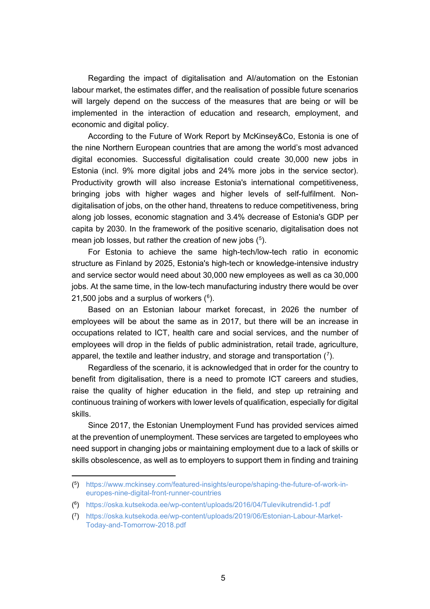Regarding the impact of digitalisation and AI/automation on the Estonian labour market, the estimates differ, and the realisation of possible future scenarios will largely depend on the success of the measures that are being or will be implemented in the interaction of education and research, employment, and economic and digital policy.

According to the Future of Work Report by McKinsey&Co, Estonia is one of the nine Northern European countries that are among the world's most advanced digital economies. Successful digitalisation could create 30,000 new jobs in Estonia (incl. 9% more digital jobs and 24% more jobs in the service sector). Productivity growth will also increase Estonia's international competitiveness, bringing jobs with higher wages and higher levels of self-fulfilment. Nondigitalisation of jobs, on the other hand, threatens to reduce competitiveness, bring along job losses, economic stagnation and 3.4% decrease of Estonia's GDP per capita by 2030. In the framework of the positive scenario, digitalisation does not mean job losses, but rather the creation of new jobs ( $5$ ).

For Estonia to achieve the same high-tech/low-tech ratio in economic structure as Finland by 2025, Estonia's high-tech or knowledge-intensive industry and service sector would need about 30,000 new employees as well as ca 30,000 jobs. At the same time, in the low-tech manufacturing industry there would be over 21,500 jobs and a surplus of workers ( $^6$  $^6$ ).

Based on an Estonian labour market forecast, in 2026 the number of employees will be about the same as in 2017, but there will be an increase in occupations related to ICT, health care and social services, and the number of employees will drop in the fields of public administration, retail trade, agriculture, apparel, the textile and leather industry, and storage and transportation ( $^7$  $^7$ ).

Regardless of the scenario, it is acknowledged that in order for the country to benefit from digitalisation, there is a need to promote ICT careers and studies, raise the quality of higher education in the field, and step up retraining and continuous training of workers with lower levels of qualification, especially for digital skills.

Since 2017, the Estonian Unemployment Fund has provided services aimed at the prevention of unemployment. These services are targeted to employees who need support in changing jobs or maintaining employment due to a lack of skills or skills obsolescence, as well as to employers to support them in finding and training

<span id="page-5-0"></span><sup>(</sup><sup>5</sup>) [https://www.mckinsey.com/featured-insights/europe/shaping-the-future-of-work-in](https://www.mckinsey.com/featured-insights/europe/shaping-the-future-of-work-in-europes-nine-digital-front-runner-countries)[europes-nine-digital-front-runner-countries](https://www.mckinsey.com/featured-insights/europe/shaping-the-future-of-work-in-europes-nine-digital-front-runner-countries)

<span id="page-5-1"></span><sup>(6)</sup> <https://oska.kutsekoda.ee/wp-content/uploads/2016/04/Tulevikutrendid-1.pdf>

<span id="page-5-2"></span><sup>(7)</sup> [https://oska.kutsekoda.ee/wp-content/uploads/2019/06/Estonian-Labour-Market-](https://oska.kutsekoda.ee/wp-content/uploads/2019/06/Estonian-Labour-Market-Today-and-Tomorrow-2018.pdf)[Today-and-Tomorrow-2018.pdf](https://oska.kutsekoda.ee/wp-content/uploads/2019/06/Estonian-Labour-Market-Today-and-Tomorrow-2018.pdf)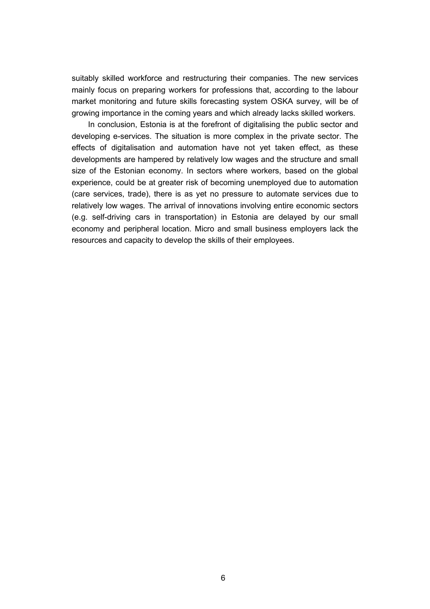suitably skilled workforce and restructuring their companies. The new services mainly focus on preparing workers for professions that, according to the labour market monitoring and future skills forecasting system OSKA survey, will be of growing importance in the coming years and which already lacks skilled workers.

In conclusion, Estonia is at the forefront of digitalising the public sector and developing e-services. The situation is more complex in the private sector. The effects of digitalisation and automation have not yet taken effect, as these developments are hampered by relatively low wages and the structure and small size of the Estonian economy. In sectors where workers, based on the global experience, could be at greater risk of becoming unemployed due to automation (care services, trade), there is as yet no pressure to automate services due to relatively low wages. The arrival of innovations involving entire economic sectors (e.g. self-driving cars in transportation) in Estonia are delayed by our small economy and peripheral location. Micro and small business employers lack the resources and capacity to develop the skills of their employees.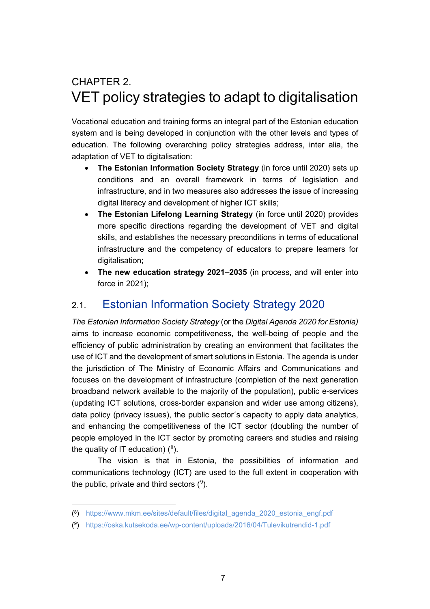# <span id="page-7-0"></span>CHAPTER 2. VET policy strategies to adapt to digitalisation

Vocational education and training forms an integral part of the Estonian education system and is being developed in conjunction with the other levels and types of education. The following overarching policy strategies address, inter alia, the adaptation of VET to digitalisation:

- **The Estonian Information Society Strategy** (in force until 2020) sets up conditions and an overall framework in terms of legislation and infrastructure, and in two measures also addresses the issue of increasing digital literacy and development of higher ICT skills;
- **The Estonian Lifelong Learning Strategy** (in force until 2020) provides more specific directions regarding the development of VET and digital skills, and establishes the necessary preconditions in terms of educational infrastructure and the competency of educators to prepare learners for digitalisation;
- **The new education strategy 2021‒2035** (in process, and will enter into force in 2021);

### <span id="page-7-1"></span>2.1. Estonian Information Society Strategy 2020

*The Estonian Information Society Strategy* (or the *Digital Agenda 2020 for Estonia)* aims to increase economic competitiveness, the well-being of people and the efficiency of public administration by creating an environment that facilitates the use of ICT and the development of smart solutions in Estonia. The agenda is under the jurisdiction of The Ministry of Economic Affairs and Communications and focuses on the development of infrastructure (completion of the next generation broadband network available to the majority of the population), public e-services (updating ICT solutions, cross-border expansion and wider use among citizens), data policy (privacy issues), the public sector´s capacity to apply data analytics, and enhancing the competitiveness of the ICT sector (doubling the number of people employed in the ICT sector by promoting careers and studies and raising the quality of IT education) ( $^8$  $^8$ ).

The vision is that in Estonia, the possibilities of information and communications technology (ICT) are used to the full extent in cooperation with the public, private and third sectors ( $9$ ).

<span id="page-7-2"></span><sup>(8)</sup> [https://www.mkm.ee/sites/default/files/digital\\_agenda\\_2020\\_estonia\\_engf.pdf](https://www.mkm.ee/sites/default/files/digital_agenda_2020_estonia_engf.pdf)

<span id="page-7-3"></span><sup>(9)</sup> <https://oska.kutsekoda.ee/wp-content/uploads/2016/04/Tulevikutrendid-1.pdf>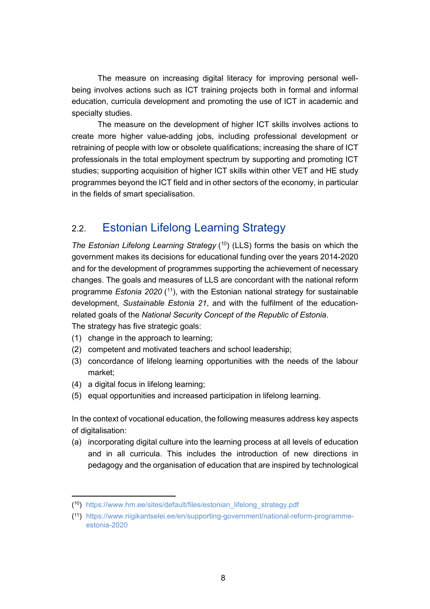The measure on increasing digital literacy for improving personal wellbeing involves actions such as ICT training projects both in formal and informal education, curricula development and promoting the use of ICT in academic and specialty studies.

The measure on the development of higher ICT skills involves actions to create more higher value-adding jobs, including professional development or retraining of people with low or obsolete qualifications; increasing the share of ICT professionals in the total employment spectrum by supporting and promoting ICT studies; supporting acquisition of higher ICT skills within other VET and HE study programmes beyond the ICT field and in other sectors of the economy, in particular in the fields of smart specialisation.

### <span id="page-8-0"></span>2.2. Estonian Lifelong Learning Strategy

*The Estonian Lifelong Learning Strategy* (<sup>10</sup>) (LLS) forms the basis on which the government makes its decisions for educational funding over the years 2014-2020 and for the development of programmes supporting the achievement of necessary changes. The goals and measures of LLS are concordant with the national reform programme *Estonia 2020* ([11](#page-8-2)), with the Estonian national strategy for sustainable development, *Sustainable Estonia 21*, and with the fulfilment of the educationrelated goals of the *National Security Concept of the Republic of Estonia*. The strategy has five strategic goals:

- (1) change in the approach to learning;
- (2) competent and motivated teachers and school leadership;
- (3) concordance of lifelong learning opportunities with the needs of the labour market;
- (4) a digital focus in lifelong learning;
- (5) equal opportunities and increased participation in lifelong learning.

In the context of vocational education, the following measures address key aspects of digitalisation:

(a) incorporating digital culture into the learning process at all levels of education and in all curricula. This includes the introduction of new directions in pedagogy and the organisation of education that are inspired by technological

<span id="page-8-1"></span><sup>(10)</sup> [https://www.hm.ee/sites/default/files/estonian\\_lifelong\\_strategy.pdf](https://www.hm.ee/sites/default/files/estonian_lifelong_strategy.pdf)

<span id="page-8-2"></span><sup>(11)</sup> [https://www.riigikantselei.ee/en/supporting-government/national-reform-programme](https://www.riigikantselei.ee/en/supporting-government/national-reform-programme-estonia-2020)[estonia-2020](https://www.riigikantselei.ee/en/supporting-government/national-reform-programme-estonia-2020)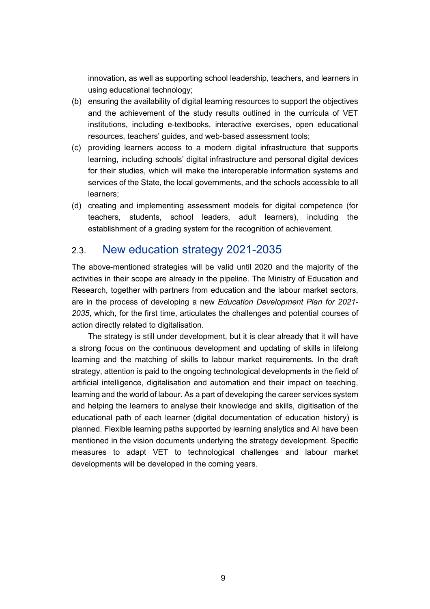innovation, as well as supporting school leadership, teachers, and learners in using educational technology;

- (b) ensuring the availability of digital learning resources to support the objectives and the achievement of the study results outlined in the curricula of VET institutions, including e-textbooks, interactive exercises, open educational resources, teachers' guides, and web-based assessment tools;
- (c) providing learners access to a modern digital infrastructure that supports learning, including schools' digital infrastructure and personal digital devices for their studies, which will make the interoperable information systems and services of the State, the local governments, and the schools accessible to all learners;
- (d) creating and implementing assessment models for digital competence (for teachers, students, school leaders, adult learners), including the establishment of a grading system for the recognition of achievement.

### <span id="page-9-0"></span>2.3. New education strategy 2021-2035

The above-mentioned strategies will be valid until 2020 and the majority of the activities in their scope are already in the pipeline. The Ministry of Education and Research, together with partners from education and the labour market sectors, are in the process of developing a new *Education Development Plan for 2021- 2035*, which, for the first time, articulates the challenges and potential courses of action directly related to digitalisation.

The strategy is still under development, but it is clear already that it will have a strong focus on the continuous development and updating of skills in lifelong learning and the matching of skills to labour market requirements. In the draft strategy, attention is paid to the ongoing technological developments in the field of artificial intelligence, digitalisation and automation and their impact on teaching, learning and the world of labour. As a part of developing the career services system and helping the learners to analyse their knowledge and skills, digitisation of the educational path of each learner (digital documentation of education history) is planned. Flexible learning paths supported by learning analytics and AI have been mentioned in the vision documents underlying the strategy development. Specific measures to adapt VET to technological challenges and labour market developments will be developed in the coming years.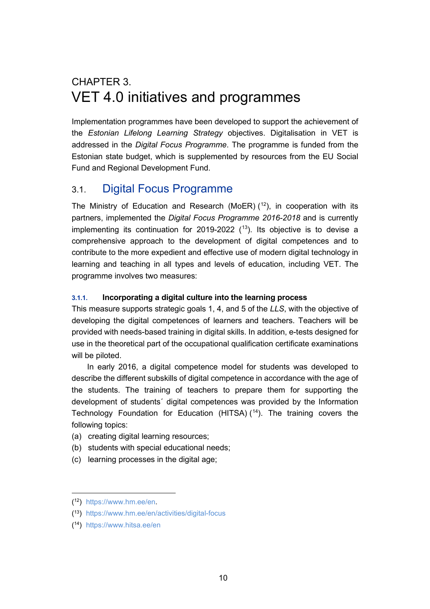## <span id="page-10-0"></span>CHAPTER 3. VET 4.0 initiatives and programmes

Implementation programmes have been developed to support the achievement of the *Estonian Lifelong Learning Strategy* objectives. Digitalisation in VET is addressed in the *Digital Focus Programme*. The programme is funded from the Estonian state budget, which is supplemented by resources from the EU Social Fund and Regional Development Fund.

### <span id="page-10-1"></span>3.1. Digital Focus Programme

The Ministry of Education and Research (MoER)  $(12)$  $(12)$  $(12)$ , in cooperation with its partners, implemented the *Digital Focus Programme 2016-2018* and is currently implementing its continuation for 2019-2022  $(13)$  $(13)$  $(13)$ . Its objective is to devise a comprehensive approach to the development of digital competences and to contribute to the more expedient and effective use of modern digital technology in learning and teaching in all types and levels of education, including VET. The programme involves two measures:

#### <span id="page-10-2"></span>**3.1.1. Incorporating a digital culture into the learning process**

This measure supports strategic goals 1, 4, and 5 of the *LLS*, with the objective of developing the digital competences of learners and teachers. Teachers will be provided with needs-based training in digital skills. In addition, e-tests designed for use in the theoretical part of the occupational qualification certificate examinations will be piloted.

In early 2016, a digital competence model for students was developed to describe the different subskills of digital competence in accordance with the age of the students. The training of teachers to prepare them for supporting the development of students´ digital competences was provided by the Information Technology Foundation for Education (HITSA) (<sup>[14](#page-10-5)</sup>). The training covers the following topics:

- (a) creating digital learning resources;
- (b) students with special educational needs;
- (c) learning processes in the digital age;

<span id="page-10-3"></span><sup>(12)</sup> [https://www.hm.ee/en.](https://www.hm.ee/en) 

<span id="page-10-4"></span><sup>(13)</sup> <https://www.hm.ee/en/activities/digital-focus>

<span id="page-10-5"></span><sup>(14)</sup> <https://www.hitsa.ee/en>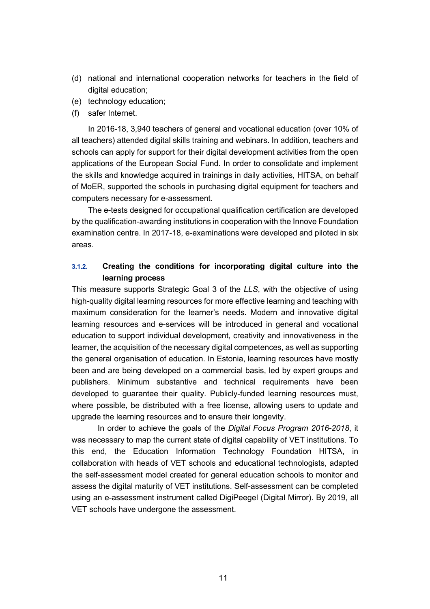- (d) national and international cooperation networks for teachers in the field of digital education;
- (e) technology education;
- (f) safer Internet.

In 2016-18, 3,940 teachers of general and vocational education (over 10% of all teachers) attended digital skills training and webinars. In addition, teachers and schools can apply for support for their digital development activities from the open applications of the European Social Fund. In order to consolidate and implement the skills and knowledge acquired in trainings in daily activities, HITSA, on behalf of MoER, supported the schools in purchasing digital equipment for teachers and computers necessary for e-assessment.

The e-tests designed for occupational qualification certification are developed by the qualification-awarding institutions in cooperation with the Innove Foundation examination centre. In 2017-18, e-examinations were developed and piloted in six areas.

#### <span id="page-11-0"></span>**3.1.2. Creating the conditions for incorporating digital culture into the learning process**

This measure supports Strategic Goal 3 of the *LLS*, with the objective of using high-quality digital learning resources for more effective learning and teaching with maximum consideration for the learner's needs. Modern and innovative digital learning resources and e-services will be introduced in general and vocational education to support individual development, creativity and innovativeness in the learner, the acquisition of the necessary digital competences, as well as supporting the general organisation of education. In Estonia, learning resources have mostly been and are being developed on a commercial basis, led by expert groups and publishers. Minimum substantive and technical requirements have been developed to guarantee their quality. Publicly-funded learning resources must, where possible, be distributed with a free license, allowing users to update and upgrade the learning resources and to ensure their longevity.

In order to achieve the goals of the *Digital Focus Program 2016-2018*, it was necessary to map the current state of digital capability of VET institutions. To this end, the Education Information Technology Foundation HITSA, in collaboration with heads of VET schools and educational technologists, adapted the self-assessment model created for general education schools to monitor and assess the digital maturity of VET institutions. Self-assessment can be completed using an e-assessment instrument called DigiPeegel (Digital Mirror). By 2019, all VET schools have undergone the assessment.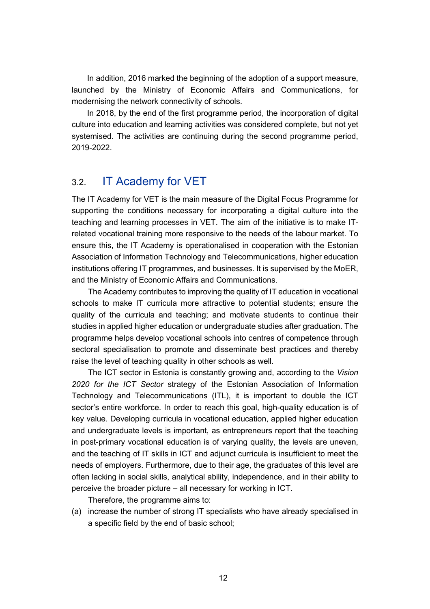In addition, 2016 marked the beginning of the adoption of a support measure, launched by the Ministry of Economic Affairs and Communications, for modernising the network connectivity of schools.

In 2018, by the end of the first programme period, the incorporation of digital culture into education and learning activities was considered complete, but not yet systemised. The activities are continuing during the second programme period, 2019-2022.

### <span id="page-12-0"></span>3.2. IT Academy for VET

The IT Academy for VET is the main measure of the Digital Focus Programme for supporting the conditions necessary for incorporating a digital culture into the teaching and learning processes in VET. The aim of the initiative is to make ITrelated vocational training more responsive to the needs of the labour market. To ensure this, the IT Academy is operationalised in cooperation with the Estonian Association of Information Technology and Telecommunications, higher education institutions offering IT programmes, and businesses. It is supervised by the MoER, and the Ministry of Economic Affairs and Communications.

The Academy contributes to improving the quality of IT education in vocational schools to make IT curricula more attractive to potential students; ensure the quality of the curricula and teaching; and motivate students to continue their studies in applied higher education or undergraduate studies after graduation. The programme helps develop vocational schools into centres of competence through sectoral specialisation to promote and disseminate best practices and thereby raise the level of teaching quality in other schools as well.

The ICT sector in Estonia is constantly growing and, according to the *Vision 2020 for the ICT Sector* strategy of the Estonian Association of Information Technology and Telecommunications (ITL), it is important to double the ICT sector's entire workforce. In order to reach this goal, high-quality education is of key value. Developing curricula in vocational education, applied higher education and undergraduate levels is important, as entrepreneurs report that the teaching in post-primary vocational education is of varying quality, the levels are uneven, and the teaching of IT skills in ICT and adjunct curricula is insufficient to meet the needs of employers. Furthermore, due to their age, the graduates of this level are often lacking in social skills, analytical ability, independence, and in their ability to perceive the broader picture – all necessary for working in ICT.

Therefore, the programme aims to:

(a) increase the number of strong IT specialists who have already specialised in a specific field by the end of basic school;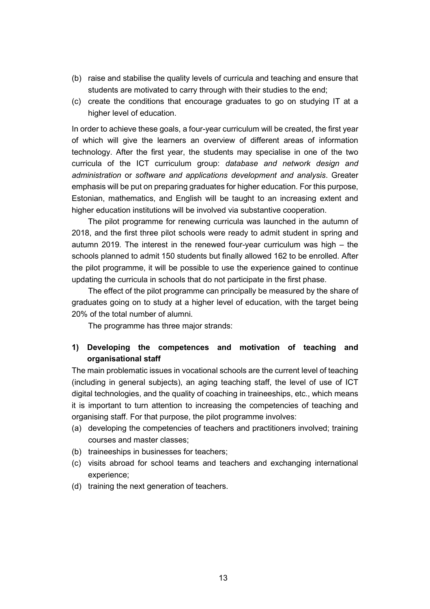- (b) raise and stabilise the quality levels of curricula and teaching and ensure that students are motivated to carry through with their studies to the end;
- (c) create the conditions that encourage graduates to go on studying IT at a higher level of education.

In order to achieve these goals, a four-year curriculum will be created, the first year of which will give the learners an overview of different areas of information technology. After the first year, the students may specialise in one of the two curricula of the ICT curriculum group: *database and network design and administration* or *software and applications development and analysis*. Greater emphasis will be put on preparing graduates for higher education. For this purpose, Estonian, mathematics, and English will be taught to an increasing extent and higher education institutions will be involved via substantive cooperation.

The pilot programme for renewing curricula was launched in the autumn of 2018, and the first three pilot schools were ready to admit student in spring and autumn 2019. The interest in the renewed four-year curriculum was high  $-$  the schools planned to admit 150 students but finally allowed 162 to be enrolled. After the pilot programme, it will be possible to use the experience gained to continue updating the curricula in schools that do not participate in the first phase.

The effect of the pilot programme can principally be measured by the share of graduates going on to study at a higher level of education, with the target being 20% of the total number of alumni.

The programme has three major strands:

#### **1) Developing the competences and motivation of teaching and organisational staff**

The main problematic issues in vocational schools are the current level of teaching (including in general subjects), an aging teaching staff, the level of use of ICT digital technologies, and the quality of coaching in traineeships, etc., which means it is important to turn attention to increasing the competencies of teaching and organising staff. For that purpose, the pilot programme involves:

- (a) developing the competencies of teachers and practitioners involved; training courses and master classes;
- (b) traineeships in businesses for teachers;
- (c) visits abroad for school teams and teachers and exchanging international experience;
- (d) training the next generation of teachers.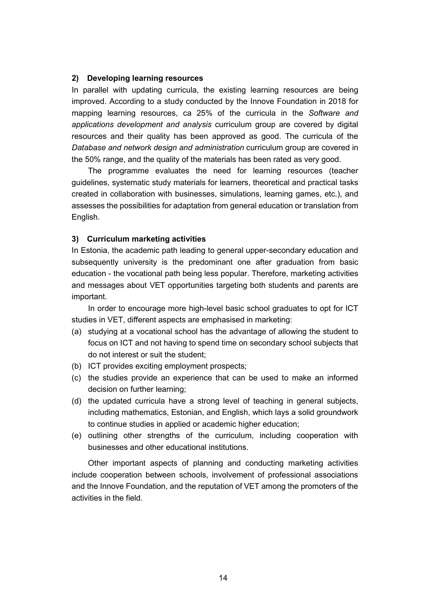#### **2) Developing learning resources**

In parallel with updating curricula, the existing learning resources are being improved. According to a study conducted by the Innove Foundation in 2018 for mapping learning resources, ca 25% of the curricula in the *Software and applications development and analysis* curriculum group are covered by digital resources and their quality has been approved as good. The curricula of the *Database and network design and administration* curriculum group are covered in the 50% range, and the quality of the materials has been rated as very good.

The programme evaluates the need for learning resources (teacher guidelines, systematic study materials for learners, theoretical and practical tasks created in collaboration with businesses, simulations, learning games, etc.), and assesses the possibilities for adaptation from general education or translation from English.

#### **3) Curriculum marketing activities**

In Estonia, the academic path leading to general upper-secondary education and subsequently university is the predominant one after graduation from basic education - the vocational path being less popular. Therefore, marketing activities and messages about VET opportunities targeting both students and parents are important.

In order to encourage more high-level basic school graduates to opt for ICT studies in VET, different aspects are emphasised in marketing:

- (a) studying at a vocational school has the advantage of allowing the student to focus on ICT and not having to spend time on secondary school subjects that do not interest or suit the student;
- (b) ICT provides exciting employment prospects;
- (c) the studies provide an experience that can be used to make an informed decision on further learning;
- (d) the updated curricula have a strong level of teaching in general subjects, including mathematics, Estonian, and English, which lays a solid groundwork to continue studies in applied or academic higher education;
- (e) outlining other strengths of the curriculum, including cooperation with businesses and other educational institutions.

Other important aspects of planning and conducting marketing activities include cooperation between schools, involvement of professional associations and the Innove Foundation, and the reputation of VET among the promoters of the activities in the field.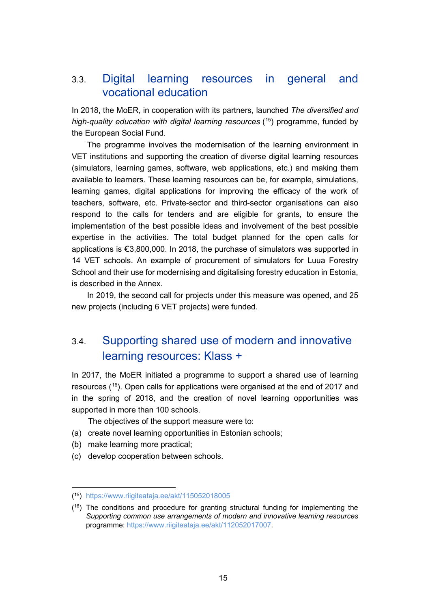### <span id="page-15-0"></span>3.3. Digital learning resources in general and vocational education

In 2018, the MoER, in cooperation with its partners, launched *The diversified and high-quality education with digital learning resources* ([15](#page-15-2)) programme, funded by the European Social Fund.

The programme involves the modernisation of the learning environment in VET institutions and supporting the creation of diverse digital learning resources (simulators, learning games, software, web applications, etc.) and making them available to learners. These learning resources can be, for example, simulations, learning games, digital applications for improving the efficacy of the work of teachers, software, etc. Private-sector and third-sector organisations can also respond to the calls for tenders and are eligible for grants, to ensure the implementation of the best possible ideas and involvement of the best possible expertise in the activities. The total budget planned for the open calls for applications is €3,800,000. In 2018, the purchase of simulators was supported in 14 VET schools. An example of procurement of simulators for Luua Forestry School and their use for modernising and digitalising forestry education in Estonia, is described in the Annex.

<span id="page-15-1"></span>In 2019, the second call for projects under this measure was opened, and 25 new projects (including 6 VET projects) were funded.

### 3.4. Supporting shared use of modern and innovative learning resources: Klass +

In 2017, the MoER initiated a programme to support a shared use of learning resources  $(16)$  $(16)$  $(16)$ . Open calls for applications were organised at the end of 2017 and in the spring of 2018, and the creation of novel learning opportunities was supported in more than 100 schools.

The objectives of the support measure were to:

- (a) create novel learning opportunities in Estonian schools;
- (b) make learning more practical;
- (c) develop cooperation between schools.

<span id="page-15-2"></span><sup>(</sup><sup>15</sup>) <https://www.riigiteataja.ee/akt/115052018005>

<span id="page-15-3"></span> $(16)$  The conditions and procedure for granting structural funding for implementing the *Supporting common use arrangements of modern and innovative learning resources* programme: <https://www.riigiteataja.ee/akt/112052017007>.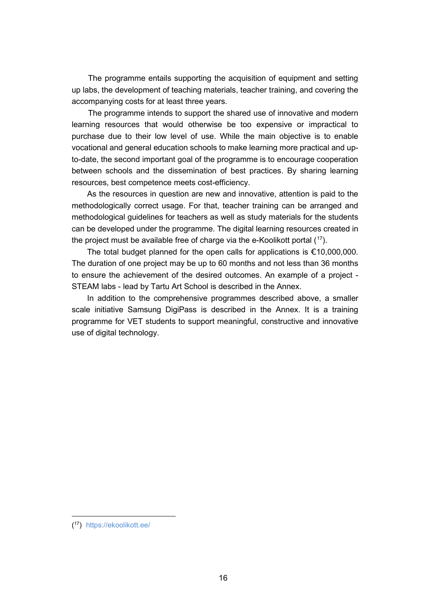The programme entails supporting the acquisition of equipment and setting up labs, the development of teaching materials, teacher training, and covering the accompanying costs for at least three years.

The programme intends to support the shared use of innovative and modern learning resources that would otherwise be too expensive or impractical to purchase due to their low level of use. While the main objective is to enable vocational and general education schools to make learning more practical and upto-date, the second important goal of the programme is to encourage cooperation between schools and the dissemination of best practices. By sharing learning resources, best competence meets cost-efficiency.

As the resources in question are new and innovative, attention is paid to the methodologically correct usage. For that, teacher training can be arranged and methodological guidelines for teachers as well as study materials for the students can be developed under the programme. The digital learning resources created in the project must be available free of charge via the e-Koolikott portal  $(17)$  $(17)$  $(17)$ .

The total budget planned for the open calls for applications is  $£10,000,000$ . The duration of one project may be up to 60 months and not less than 36 months to ensure the achievement of the desired outcomes. An example of a project - STEAM labs - lead by Tartu Art School is described in the Annex.

In addition to the comprehensive programmes described above, a smaller scale initiative Samsung DigiPass is described in the Annex. It is a training programme for VET students to support meaningful, constructive and innovative use of digital technology.

<span id="page-16-0"></span><sup>(17)</sup> <https://ekoolikott.ee/>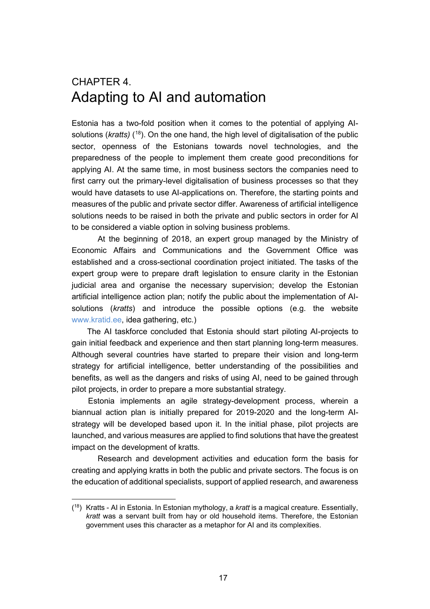### <span id="page-17-0"></span>CHAPTER 4. Adapting to AI and automation

Estonia has a two-fold position when it comes to the potential of applying AIsolutions (*kratts*) (<sup>18</sup>). On the one hand, the high level of digitalisation of the public sector, openness of the Estonians towards novel technologies, and the preparedness of the people to implement them create good preconditions for applying AI. At the same time, in most business sectors the companies need to first carry out the primary-level digitalisation of business processes so that they would have datasets to use AI-applications on. Therefore, the starting points and measures of the public and private sector differ. Awareness of artificial intelligence solutions needs to be raised in both the private and public sectors in order for AI to be considered a viable option in solving business problems.

At the beginning of 2018, an expert group managed by the Ministry of Economic Affairs and Communications and the Government Office was established and a cross-sectional coordination project initiated. The tasks of the expert group were to prepare draft legislation to ensure clarity in the Estonian judicial area and organise the necessary supervision; develop the Estonian artificial intelligence action plan; notify the public about the implementation of AIsolutions (*kratts*) and introduce the possible options (e.g. the website [www.kratid.ee,](http://www.kratid.ee/) idea gathering, etc.)

The AI taskforce concluded that Estonia should start piloting AI-projects to gain initial feedback and experience and then start planning long-term measures. Although several countries have started to prepare their vision and long-term strategy for artificial intelligence, better understanding of the possibilities and benefits, as well as the dangers and risks of using AI, need to be gained through pilot projects, in order to prepare a more substantial strategy.

Estonia implements an agile strategy-development process, wherein a biannual action plan is initially prepared for 2019-2020 and the long-term AIstrategy will be developed based upon it. In the initial phase, pilot projects are launched, and various measures are applied to find solutions that have the greatest impact on the development of kratts.

Research and development activities and education form the basis for creating and applying kratts in both the public and private sectors. The focus is on the education of additional specialists, support of applied research, and awareness

<span id="page-17-1"></span><sup>(18)</sup> Kratts - AI in Estonia. In Estonian mythology, a *kratt* is a magical creature. Essentially, *kratt* was a servant built from hay or old household items. Therefore, the Estonian government uses this character as a metaphor for AI and its complexities.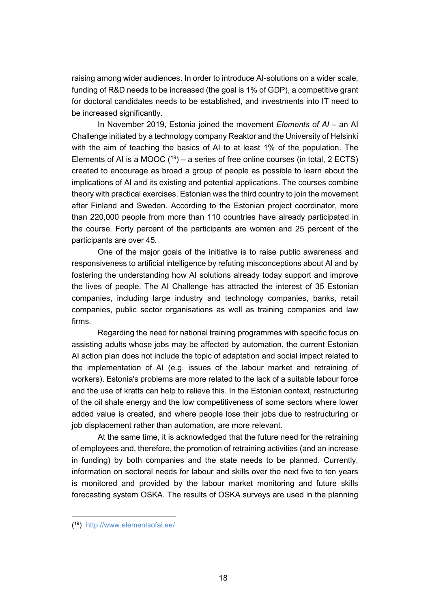raising among wider audiences. In order to introduce AI-solutions on a wider scale, funding of R&D needs to be increased (the goal is 1% of GDP), a competitive grant for doctoral candidates needs to be established, and investments into IT need to be increased significantly.

In November 2019, Estonia joined the movement *Elements of AI* – an AI Challenge initiated by a technology company Reaktor and the University of Helsinki with the aim of teaching the basics of AI to at least 1% of the population. The Elements of AI is a MOOC  $(19)$  $(19)$  – a series of free online courses (in total, 2 ECTS) created to encourage as broad a group of people as possible to learn about the implications of AI and its existing and potential applications. The courses combine theory with practical exercises. Estonian was the third country to join the movement after Finland and Sweden. According to the Estonian project coordinator, more than 220,000 people from more than 110 countries have already participated in the course. Forty percent of the participants are women and 25 percent of the participants are over 45.

One of the major goals of the initiative is to raise public awareness and responsiveness to artificial intelligence by refuting misconceptions about AI and by fostering the understanding how AI solutions already today support and improve the lives of people. The AI Challenge has attracted the interest of 35 Estonian companies, including large industry and technology companies, banks, retail companies, public sector organisations as well as training companies and law firms.

Regarding the need for national training programmes with specific focus on assisting adults whose jobs may be affected by automation, the current Estonian AI action plan does not include the topic of adaptation and social impact related to the implementation of AI (e.g. issues of the labour market and retraining of workers). Estonia's problems are more related to the lack of a suitable labour force and the use of kratts can help to relieve this. In the Estonian context, restructuring of the oil shale energy and the low competitiveness of some sectors where lower added value is created, and where people lose their jobs due to restructuring or job displacement rather than automation, are more relevant.

At the same time, it is acknowledged that the future need for the retraining of employees and, therefore, the promotion of retraining activities (and an increase in funding) by both companies and the state needs to be planned. Currently, information on sectoral needs for labour and skills over the next five to ten years is monitored and provided by the labour market monitoring and future skills forecasting system OSKA. The results of OSKA surveys are used in the planning

<span id="page-18-0"></span><sup>(19)</sup> <http://www.elementsofai.ee/>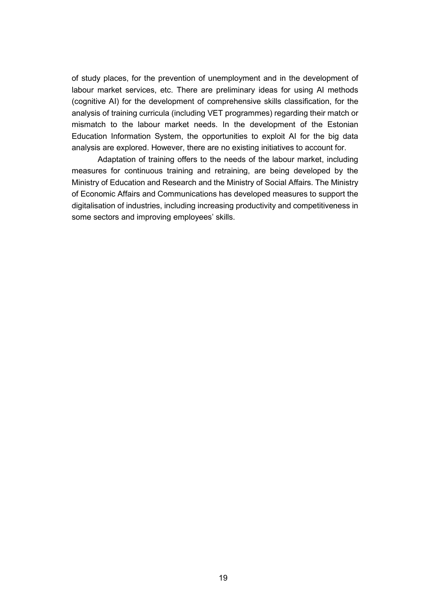of study places, for the prevention of unemployment and in the development of labour market services, etc. There are preliminary ideas for using AI methods (cognitive AI) for the development of comprehensive skills classification, for the analysis of training curricula (including VET programmes) regarding their match or mismatch to the labour market needs. In the development of the Estonian Education Information System, the opportunities to exploit AI for the big data analysis are explored. However, there are no existing initiatives to account for.

Adaptation of training offers to the needs of the labour market, including measures for continuous training and retraining, are being developed by the Ministry of Education and Research and the Ministry of Social Affairs. The Ministry of Economic Affairs and Communications has developed measures to support the digitalisation of industries, including increasing productivity and competitiveness in some sectors and improving employees' skills.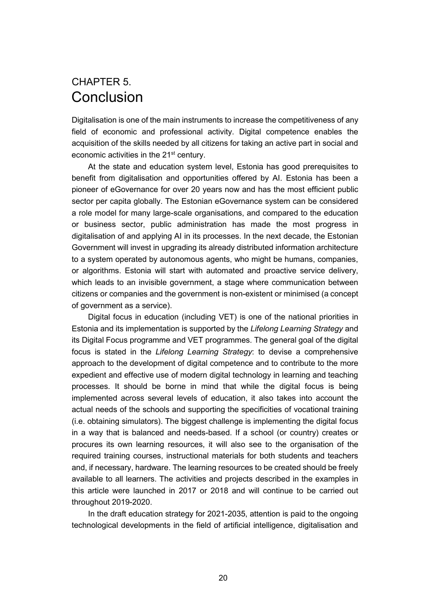### <span id="page-20-0"></span>CHAPTER 5. Conclusion

Digitalisation is one of the main instruments to increase the competitiveness of any field of economic and professional activity. Digital competence enables the acquisition of the skills needed by all citizens for taking an active part in social and economic activities in the 21<sup>st</sup> century.

At the state and education system level, Estonia has good prerequisites to benefit from digitalisation and opportunities offered by AI. Estonia has been a pioneer of eGovernance for over 20 years now and has the most efficient public sector per capita globally. The Estonian eGovernance system can be considered a role model for many large-scale organisations, and compared to the education or business sector, public administration has made the most progress in digitalisation of and applying AI in its processes. In the next decade, the Estonian Government will invest in upgrading its already distributed information architecture to a system operated by autonomous agents, who might be humans, companies, or algorithms. Estonia will start with automated and proactive service delivery, which leads to an invisible government, a stage where communication between citizens or companies and the government is non-existent or minimised (a concept of government as a service).

Digital focus in education (including VET) is one of the national priorities in Estonia and its implementation is supported by the *Lifelong Learning Strategy* and its Digital Focus programme and VET programmes. The general goal of the digital focus is stated in the *Lifelong Learning Strategy*: to devise a comprehensive approach to the development of digital competence and to contribute to the more expedient and effective use of modern digital technology in learning and teaching processes. It should be borne in mind that while the digital focus is being implemented across several levels of education, it also takes into account the actual needs of the schools and supporting the specificities of vocational training (i.e. obtaining simulators). The biggest challenge is implementing the digital focus in a way that is balanced and needs-based. If a school (or country) creates or procures its own learning resources, it will also see to the organisation of the required training courses, instructional materials for both students and teachers and, if necessary, hardware. The learning resources to be created should be freely available to all learners. The activities and projects described in the examples in this article were launched in 2017 or 2018 and will continue to be carried out throughout 2019-2020.

In the draft education strategy for 2021-2035, attention is paid to the ongoing technological developments in the field of artificial intelligence, digitalisation and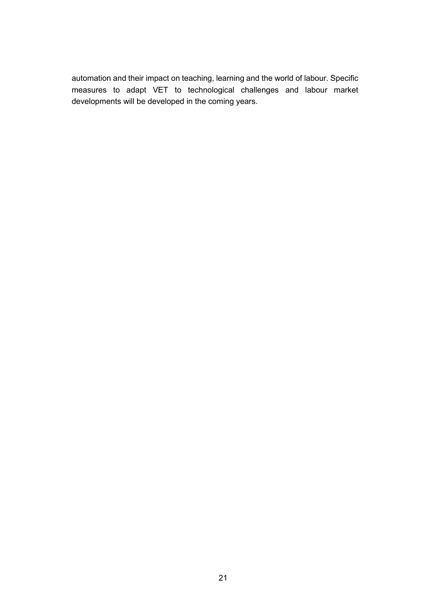automation and their impact on teaching, learning and the world of labour. Specific measures to adapt VET to technological challenges and labour market developments will be developed in the coming years.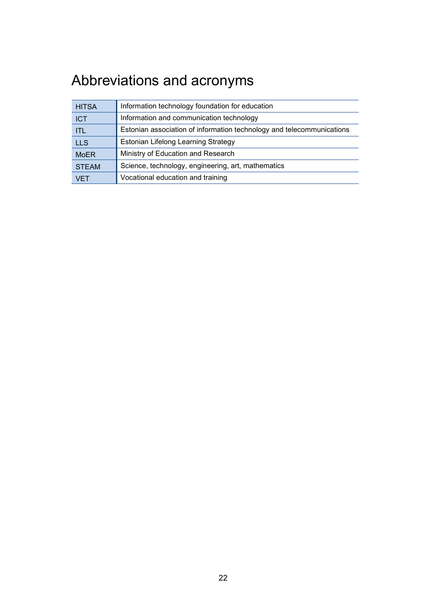# <span id="page-22-0"></span>Abbreviations and acronyms

| <b>HITSA</b> | Information technology foundation for education                       |
|--------------|-----------------------------------------------------------------------|
| <b>ICT</b>   | Information and communication technology                              |
| <b>ITL</b>   | Estonian association of information technology and telecommunications |
| <b>LLS</b>   | Estonian Lifelong Learning Strategy                                   |
| <b>MoER</b>  | Ministry of Education and Research                                    |
| <b>STEAM</b> | Science, technology, engineering, art, mathematics                    |
| VFT          | Vocational education and training                                     |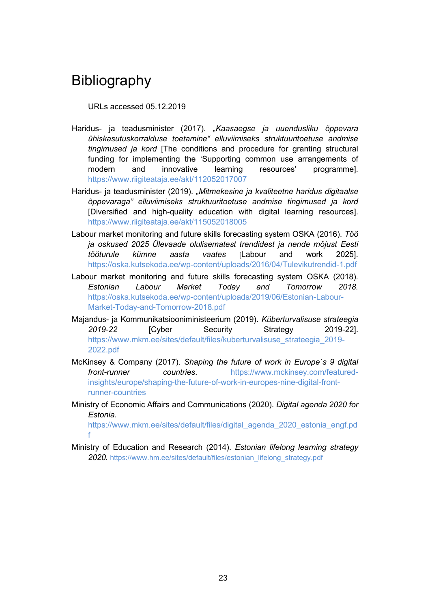# <span id="page-23-0"></span>Bibliography

URLs accessed 05.12.2019

- Haridus- ja teadusminister (2017). "*Kaasaegse ja uuendusliku õppevara ühiskasutuskorralduse toetamine" elluviimiseks struktuuritoetuse andmise tingimused ja kord* [The conditions and procedure for granting structural funding for implementing the 'Supporting common use arrangements of modern and innovative learning resources' programme]. <https://www.riigiteataja.ee/akt/112052017007>
- Haridus- ja teadusminister (2019). *"Mitmekesine ja kvaliteetne haridus digitaalse õppevaraga" elluviimiseks struktuuritoetuse andmise tingimused ja kord* [Diversified and high-quality education with digital learning resources]. <https://www.riigiteataja.ee/akt/115052018005>
- Labour market monitoring and future skills forecasting system OSKA (2016). *Töö ja oskused 2025 Ülevaade olulisematest trendidest ja nende mõjust Eesti tööturule kümne aasta vaates* [Labour and work 2025]. <https://oska.kutsekoda.ee/wp-content/uploads/2016/04/Tulevikutrendid-1.pdf>
- Labour market monitoring and future skills forecasting system OSKA (2018). *Estonian Labour Market Today and Tomorrow 2018.* [https://oska.kutsekoda.ee/wp-content/uploads/2019/06/Estonian-Labour-](https://oska.kutsekoda.ee/wp-content/uploads/2019/06/Estonian-Labour-Market-Today-and-Tomorrow-2018.pdf)[Market-Today-and-Tomorrow-2018.pdf](https://oska.kutsekoda.ee/wp-content/uploads/2019/06/Estonian-Labour-Market-Today-and-Tomorrow-2018.pdf)
- Majandus- ja Kommunikatsiooniministeerium (2019). *Küberturvalisuse strateegia 2019-22* [Cyber Security Strategy 2019-22]. [https://www.mkm.ee/sites/default/files/kuberturvalisuse\\_strateegia\\_2019-](https://www.mkm.ee/sites/default/files/kuberturvalisuse_strateegia_2019-2022.pdf) [2022.pdf](https://www.mkm.ee/sites/default/files/kuberturvalisuse_strateegia_2019-2022.pdf)
- McKinsey & Company (2017). *Shaping the future of work in Europe´s 9 digital front-runner countries*. [https://www.mckinsey.com/featured](https://www.mckinsey.com/featured-insights/europe/shaping-the-future-of-work-in-europes-nine-digital-front-runner-countries)[insights/europe/shaping-the-future-of-work-in-europes-nine-digital-front](https://www.mckinsey.com/featured-insights/europe/shaping-the-future-of-work-in-europes-nine-digital-front-runner-countries)[runner-countries](https://www.mckinsey.com/featured-insights/europe/shaping-the-future-of-work-in-europes-nine-digital-front-runner-countries)
- Ministry of Economic Affairs and Communications (2020). *Digital agenda 2020 for Estonia.*

[https://www.mkm.ee/sites/default/files/digital\\_agenda\\_2020\\_estonia\\_engf.pd](https://www.mkm.ee/sites/default/files/digital_agenda_2020_estonia_engf.pdf) [f](https://www.mkm.ee/sites/default/files/digital_agenda_2020_estonia_engf.pdf)

Ministry of Education and Research (2014). *Estonian lifelong learning strategy 2020.* [https://www.hm.ee/sites/default/files/estonian\\_lifelong\\_strategy.pdf](https://www.hm.ee/sites/default/files/estonian_lifelong_strategy.pdf)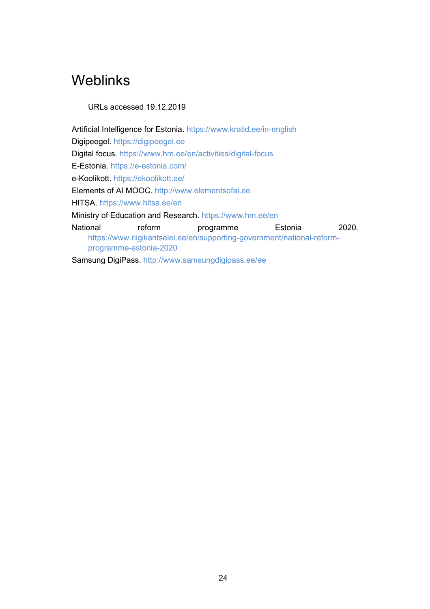# <span id="page-24-0"></span>Weblinks

URLs accessed 19.12.2019

Artificial Intelligence for Estonia. <https://www.kratid.ee/in-english> Digipeegel. [https://digipeegel.ee](https://digipeegel.ee/) Digital focus. <https://www.hm.ee/en/activities/digital-focus> E-Estonia.<https://e-estonia.com/> e-Koolikott.<https://ekoolikott.ee/> Elements of AI MOOC. [http://www.elementsofai.ee](http://www.elementsofai.ee/) HITSA. <https://www.hitsa.ee/en> Ministry of Education and Research. <https://www.hm.ee/en> National reform programme Estonia 2020. [https://www.riigikantselei.ee/en/supporting-government/national-reform](https://www.riigikantselei.ee/en/supporting-government/national-reform-programme-estonia-2020)[programme-estonia-2020](https://www.riigikantselei.ee/en/supporting-government/national-reform-programme-estonia-2020) Samsung DigiPass.<http://www.samsungdigipass.ee/ee>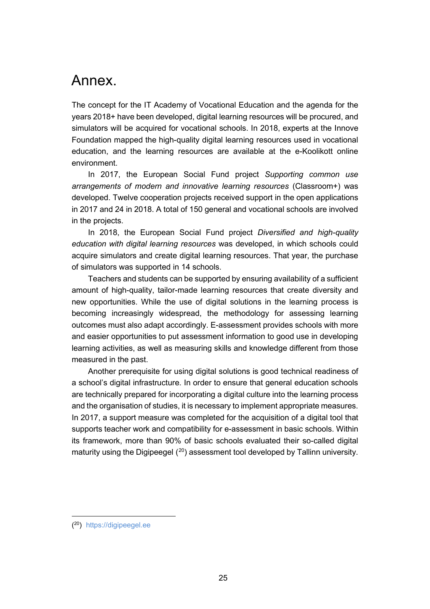# <span id="page-25-0"></span>Annex.

The concept for the IT Academy of Vocational Education and the agenda for the years 2018+ have been developed, digital learning resources will be procured, and simulators will be acquired for vocational schools. In 2018, experts at the Innove Foundation mapped the high-quality digital learning resources used in vocational education, and the learning resources are available at the e-Koolikott online environment.

In 2017, the European Social Fund project *Supporting common use arrangements of modern and innovative learning resources* (Classroom+) was developed. Twelve cooperation projects received support in the open applications in 2017 and 24 in 2018. A total of 150 general and vocational schools are involved in the projects.

In 2018, the European Social Fund project *Diversified and high-quality education with digital learning resources* was developed, in which schools could acquire simulators and create digital learning resources. That year, the purchase of simulators was supported in 14 schools.

Teachers and students can be supported by ensuring availability of a sufficient amount of high-quality, tailor-made learning resources that create diversity and new opportunities. While the use of digital solutions in the learning process is becoming increasingly widespread, the methodology for assessing learning outcomes must also adapt accordingly. E-assessment provides schools with more and easier opportunities to put assessment information to good use in developing learning activities, as well as measuring skills and knowledge different from those measured in the past.

Another prerequisite for using digital solutions is good technical readiness of a school's digital infrastructure. In order to ensure that general education schools are technically prepared for incorporating a digital culture into the learning process and the organisation of studies, it is necessary to implement appropriate measures. In 2017, a support measure was completed for the acquisition of a digital tool that supports teacher work and compatibility for e-assessment in basic schools. Within its framework, more than 90% of basic schools evaluated their so-called digital maturity using the Digipeegel  $(20)$  $(20)$  $(20)$  assessment tool developed by Tallinn university.

<span id="page-25-1"></span><sup>(20)</sup> [https://digipeegel.ee](https://digipeegel.ee/)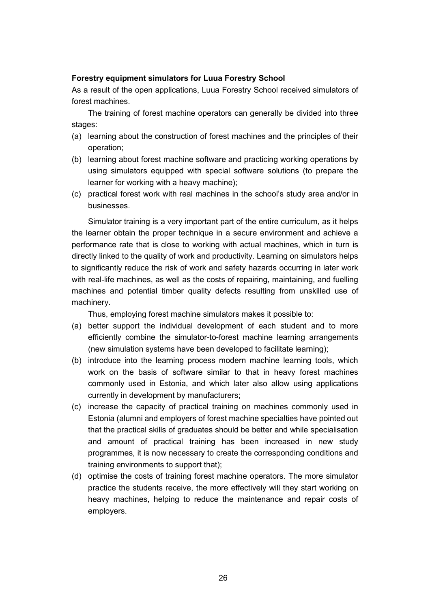#### **Forestry equipment simulators for Luua Forestry School**

As a result of the open applications, Luua Forestry School received simulators of forest machines.

The training of forest machine operators can generally be divided into three stages:

- (a) learning about the construction of forest machines and the principles of their operation;
- (b) learning about forest machine software and practicing working operations by using simulators equipped with special software solutions (to prepare the learner for working with a heavy machine);
- (c) practical forest work with real machines in the school's study area and/or in businesses.

Simulator training is a very important part of the entire curriculum, as it helps the learner obtain the proper technique in a secure environment and achieve a performance rate that is close to working with actual machines, which in turn is directly linked to the quality of work and productivity. Learning on simulators helps to significantly reduce the risk of work and safety hazards occurring in later work with real-life machines, as well as the costs of repairing, maintaining, and fuelling machines and potential timber quality defects resulting from unskilled use of machinery.

Thus, employing forest machine simulators makes it possible to:

- (a) better support the individual development of each student and to more efficiently combine the simulator-to-forest machine learning arrangements (new simulation systems have been developed to facilitate learning);
- (b) introduce into the learning process modern machine learning tools, which work on the basis of software similar to that in heavy forest machines commonly used in Estonia, and which later also allow using applications currently in development by manufacturers;
- (c) increase the capacity of practical training on machines commonly used in Estonia (alumni and employers of forest machine specialties have pointed out that the practical skills of graduates should be better and while specialisation and amount of practical training has been increased in new study programmes, it is now necessary to create the corresponding conditions and training environments to support that);
- (d) optimise the costs of training forest machine operators. The more simulator practice the students receive, the more effectively will they start working on heavy machines, helping to reduce the maintenance and repair costs of employers.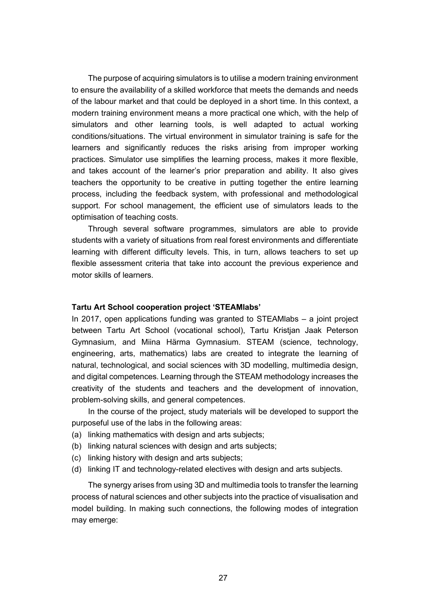The purpose of acquiring simulators is to utilise a modern training environment to ensure the availability of a skilled workforce that meets the demands and needs of the labour market and that could be deployed in a short time. In this context, a modern training environment means a more practical one which, with the help of simulators and other learning tools, is well adapted to actual working conditions/situations. The virtual environment in simulator training is safe for the learners and significantly reduces the risks arising from improper working practices. Simulator use simplifies the learning process, makes it more flexible, and takes account of the learner's prior preparation and ability. It also gives teachers the opportunity to be creative in putting together the entire learning process, including the feedback system, with professional and methodological support. For school management, the efficient use of simulators leads to the optimisation of teaching costs.

Through several software programmes, simulators are able to provide students with a variety of situations from real forest environments and differentiate learning with different difficulty levels. This, in turn, allows teachers to set up flexible assessment criteria that take into account the previous experience and motor skills of learners.

#### **Tartu Art School cooperation project 'STEAMlabs'**

In 2017, open applications funding was granted to STEAMlabs – a joint project between Tartu Art School (vocational school), Tartu Kristjan Jaak Peterson Gymnasium, and Miina Härma Gymnasium. STEAM (science, technology, engineering, arts, mathematics) labs are created to integrate the learning of natural, technological, and social sciences with 3D modelling, multimedia design, and digital competences. Learning through the STEAM methodology increases the creativity of the students and teachers and the development of innovation, problem-solving skills, and general competences.

In the course of the project, study materials will be developed to support the purposeful use of the labs in the following areas:

- (a) linking mathematics with design and arts subjects;
- (b) linking natural sciences with design and arts subjects;
- (c) linking history with design and arts subjects;
- (d) linking IT and technology-related electives with design and arts subjects.

The synergy arises from using 3D and multimedia tools to transfer the learning process of natural sciences and other subjects into the practice of visualisation and model building. In making such connections, the following modes of integration may emerge: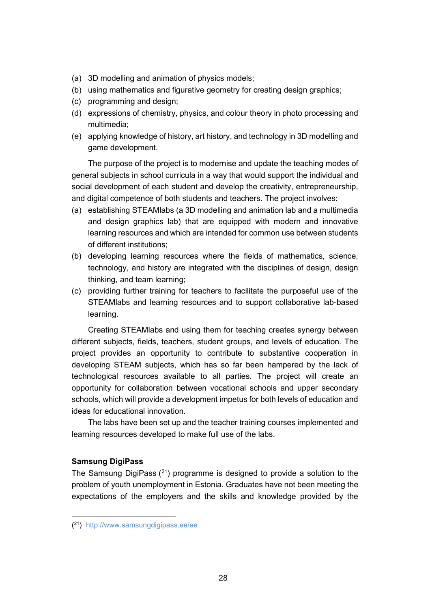- (a) 3D modelling and animation of physics models;
- (b) using mathematics and figurative geometry for creating design graphics;
- (c) programming and design;
- (d) expressions of chemistry, physics, and colour theory in photo processing and multimedia;
- (e) applying knowledge of history, art history, and technology in 3D modelling and game development.

The purpose of the project is to modernise and update the teaching modes of general subjects in school curricula in a way that would support the individual and social development of each student and develop the creativity, entrepreneurship, and digital competence of both students and teachers. The project involves:

- (a) establishing STEAMlabs (a 3D modelling and animation lab and a multimedia and design graphics lab) that are equipped with modern and innovative learning resources and which are intended for common use between students of different institutions;
- (b) developing learning resources where the fields of mathematics, science, technology, and history are integrated with the disciplines of design, design thinking, and team learning;
- (c) providing further training for teachers to facilitate the purposeful use of the STEAMlabs and learning resources and to support collaborative lab-based learning.

Creating STEAMlabs and using them for teaching creates synergy between different subjects, fields, teachers, student groups, and levels of education. The project provides an opportunity to contribute to substantive cooperation in developing STEAM subjects, which has so far been hampered by the lack of technological resources available to all parties. The project will create an opportunity for collaboration between vocational schools and upper secondary schools, which will provide a development impetus for both levels of education and ideas for educational innovation.

The labs have been set up and the teacher training courses implemented and learning resources developed to make full use of the labs.

#### **Samsung DigiPass**

The Samsung DigiPass  $(21)$  $(21)$  $(21)$  programme is designed to provide a solution to the problem of youth unemployment in Estonia. Graduates have not been meeting the expectations of the employers and the skills and knowledge provided by the

<span id="page-28-0"></span><sup>(21)</sup> <http://www.samsungdigipass.ee/ee>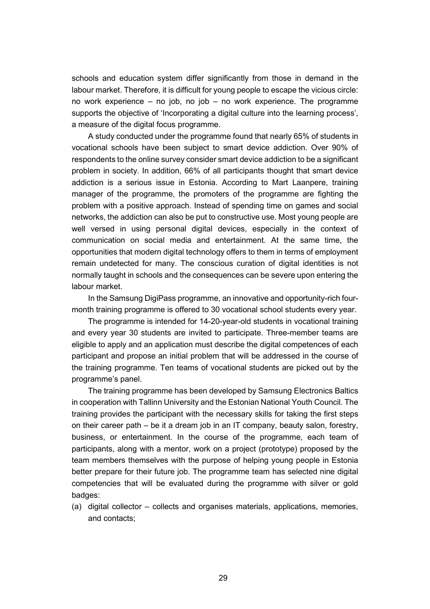schools and education system differ significantly from those in demand in the labour market. Therefore, it is difficult for young people to escape the vicious circle: no work experience – no job, no job – no work experience. The programme supports the objective of 'Incorporating a digital culture into the learning process', a measure of the digital focus programme.

A study conducted under the programme found that nearly 65% of students in vocational schools have been subject to smart device addiction. Over 90% of respondents to the online survey consider smart device addiction to be a significant problem in society. In addition, 66% of all participants thought that smart device addiction is a serious issue in Estonia. According to Mart Laanpere, training manager of the programme, the promoters of the programme are fighting the problem with a positive approach. Instead of spending time on games and social networks, the addiction can also be put to constructive use. Most young people are well versed in using personal digital devices, especially in the context of communication on social media and entertainment. At the same time, the opportunities that modern digital technology offers to them in terms of employment remain undetected for many. The conscious curation of digital identities is not normally taught in schools and the consequences can be severe upon entering the labour market.

In the Samsung DigiPass programme, an innovative and opportunity-rich fourmonth training programme is offered to 30 vocational school students every year.

The programme is intended for 14-20-year-old students in vocational training and every year 30 students are invited to participate. Three-member teams are eligible to apply and an application must describe the digital competences of each participant and propose an initial problem that will be addressed in the course of the training programme. Ten teams of vocational students are picked out by the programme's panel.

The training programme has been developed by Samsung Electronics Baltics in cooperation with Tallinn University and the Estonian National Youth Council. The training provides the participant with the necessary skills for taking the first steps on their career path – be it a dream job in an IT company, beauty salon, forestry, business, or entertainment. In the course of the programme, each team of participants, along with a mentor, work on a project (prototype) proposed by the team members themselves with the purpose of helping young people in Estonia better prepare for their future job. The programme team has selected nine digital competencies that will be evaluated during the programme with silver or gold badges:

(a) digital collector – collects and organises materials, applications, memories, and contacts;